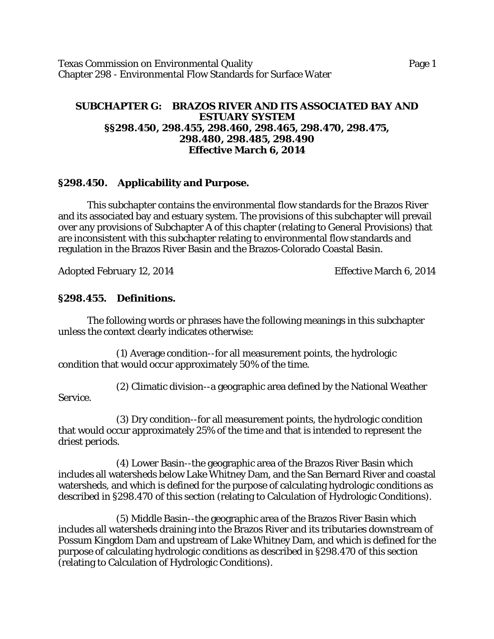Texas Commission on Environmental Quality **Page 1** Page 1 Chapter 298 - Environmental Flow Standards for Surface Water

#### **SUBCHAPTER G: BRAZOS RIVER AND ITS ASSOCIATED BAY AND ESTUARY SYSTEM §§298.450, 298.455, 298.460, 298.465, 298.470, 298.475, 298.480, 298.485, 298.490 Effective March 6, 2014**

#### **§298.450. Applicability and Purpose.**

This subchapter contains the environmental flow standards for the Brazos River and its associated bay and estuary system. The provisions of this subchapter will prevail over any provisions of Subchapter A of this chapter (relating to General Provisions) that are inconsistent with this subchapter relating to environmental flow standards and regulation in the Brazos River Basin and the Brazos-Colorado Coastal Basin.

Adopted February 12, 2014 Effective March 6, 2014

#### **§298.455. Definitions.**

The following words or phrases have the following meanings in this subchapter unless the context clearly indicates otherwise:

(1) Average condition--for all measurement points, the hydrologic condition that would occur approximately 50% of the time.

(2) Climatic division--a geographic area defined by the National Weather

Service.

(3) Dry condition--for all measurement points, the hydrologic condition that would occur approximately 25% of the time and that is intended to represent the driest periods.

(4) Lower Basin--the geographic area of the Brazos River Basin which includes all watersheds below Lake Whitney Dam, and the San Bernard River and coastal watersheds, and which is defined for the purpose of calculating hydrologic conditions as described in §298.470 of this section (relating to Calculation of Hydrologic Conditions).

(5) Middle Basin--the geographic area of the Brazos River Basin which includes all watersheds draining into the Brazos River and its tributaries downstream of Possum Kingdom Dam and upstream of Lake Whitney Dam, and which is defined for the purpose of calculating hydrologic conditions as described in §298.470 of this section (relating to Calculation of Hydrologic Conditions).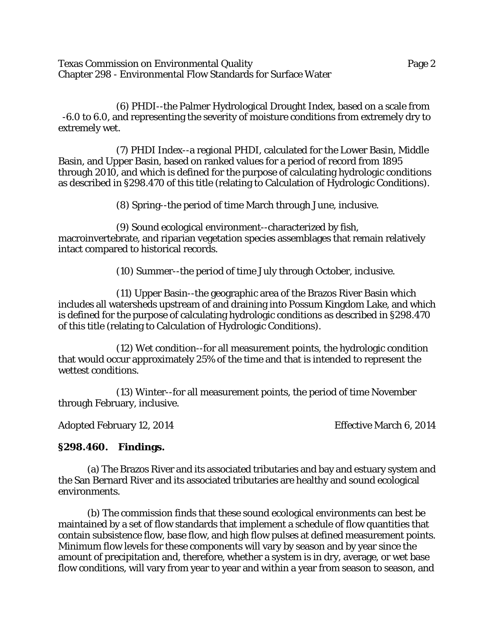Texas Commission on Environmental Quality Page 2 Chapter 298 - Environmental Flow Standards for Surface Water

(6) PHDI--the Palmer Hydrological Drought Index, based on a scale from -6.0 to 6.0, and representing the severity of moisture conditions from extremely dry to extremely wet.

(7) PHDI Index--a regional PHDI, calculated for the Lower Basin, Middle Basin, and Upper Basin, based on ranked values for a period of record from 1895 through 2010, and which is defined for the purpose of calculating hydrologic conditions as described in §298.470 of this title (relating to Calculation of Hydrologic Conditions).

(8) Spring--the period of time March through June, inclusive.

(9) Sound ecological environment--characterized by fish, macroinvertebrate, and riparian vegetation species assemblages that remain relatively intact compared to historical records.

(10) Summer--the period of time July through October, inclusive.

(11) Upper Basin--the geographic area of the Brazos River Basin which includes all watersheds upstream of and draining into Possum Kingdom Lake, and which is defined for the purpose of calculating hydrologic conditions as described in §298.470 of this title (relating to Calculation of Hydrologic Conditions).

(12) Wet condition--for all measurement points, the hydrologic condition that would occur approximately 25% of the time and that is intended to represent the wettest conditions.

(13) Winter--for all measurement points, the period of time November through February, inclusive.

Adopted February 12, 2014 Effective March 6, 2014

## **§298.460. Findings.**

(a) The Brazos River and its associated tributaries and bay and estuary system and the San Bernard River and its associated tributaries are healthy and sound ecological environments.

(b) The commission finds that these sound ecological environments can best be maintained by a set of flow standards that implement a schedule of flow quantities that contain subsistence flow, base flow, and high flow pulses at defined measurement points. Minimum flow levels for these components will vary by season and by year since the amount of precipitation and, therefore, whether a system is in dry, average, or wet base flow conditions, will vary from year to year and within a year from season to season, and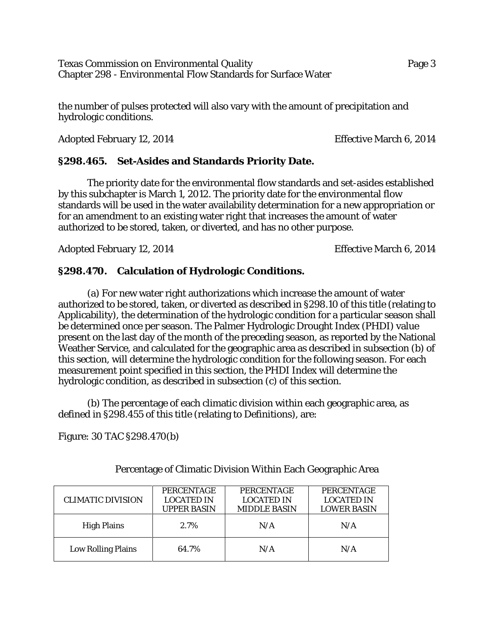Texas Commission on Environmental Quality Page 3 Chapter 298 - Environmental Flow Standards for Surface Water

the number of pulses protected will also vary with the amount of precipitation and hydrologic conditions.

Adopted February 12, 2014 Effective March 6, 2014

### **§298.465. Set-Asides and Standards Priority Date.**

The priority date for the environmental flow standards and set-asides established by this subchapter is March 1, 2012. The priority date for the environmental flow standards will be used in the water availability determination for a new appropriation or for an amendment to an existing water right that increases the amount of water authorized to be stored, taken, or diverted, and has no other purpose.

Adopted February 12, 2014 **Effective March 6, 2014** 

### **§298.470. Calculation of Hydrologic Conditions.**

(a) For new water right authorizations which increase the amount of water authorized to be stored, taken, or diverted as described in §298.10 of this title (relating to Applicability), the determination of the hydrologic condition for a particular season shall be determined once per season. The Palmer Hydrologic Drought Index (PHDI) value present on the last day of the month of the preceding season, as reported by the National Weather Service, and calculated for the geographic area as described in subsection (b) of this section, will determine the hydrologic condition for the following season. For each measurement point specified in this section, the PHDI Index will determine the hydrologic condition, as described in subsection (c) of this section.

(b) The percentage of each climatic division within each geographic area, as defined in §298.455 of this title (relating to Definitions), are:

Figure: 30 TAC §298.470(b)

| <b>CLIMATIC DIVISION</b>  | <b>PERCENTAGE</b><br><b>LOCATED IN</b><br><b>UPPER BASIN</b> | <b>PERCENTAGE</b><br><b>LOCATED IN</b><br><b>MIDDLE BASIN</b> | PERCENTAGE<br><b>LOCATED IN</b><br><b>LOWER BASIN</b> |
|---------------------------|--------------------------------------------------------------|---------------------------------------------------------------|-------------------------------------------------------|
| <b>High Plains</b>        | 2.7%                                                         | N/A                                                           | N/A                                                   |
| <b>Low Rolling Plains</b> | 64.7%                                                        | N/A                                                           | N/A                                                   |

Percentage of Climatic Division Within Each Geographic Area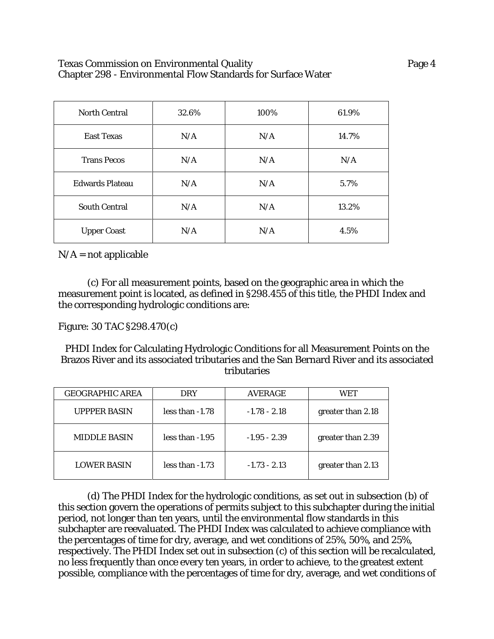#### Texas Commission on Environmental Quality Page 4 Chapter 298 - Environmental Flow Standards for Surface Water

| <b>North Central</b>   | 32.6% | 100% | 61.9% |
|------------------------|-------|------|-------|
| <b>East Texas</b>      | N/A   | N/A  | 14.7% |
| <b>Trans Pecos</b>     | N/A   | N/A  | N/A   |
| <b>Edwards Plateau</b> | N/A   | N/A  | 5.7%  |
| <b>South Central</b>   | N/A   | N/A  | 13.2% |
| <b>Upper Coast</b>     | N/A   | N/A  | 4.5%  |

 $N/A$  = not applicable

(c) For all measurement points, based on the geographic area in which the measurement point is located, as defined in §298.455 of this title, the PHDI Index and the corresponding hydrologic conditions are:

Figure: 30 TAC §298.470(c)

PHDI Index for Calculating Hydrologic Conditions for all Measurement Points on the Brazos River and its associated tributaries and the San Bernard River and its associated tributaries

| <b>GEOGRAPHIC AREA</b> | <b>DRY</b>        | <b>AVERAGE</b> | WET               |
|------------------------|-------------------|----------------|-------------------|
| <b>UPPPER BASIN</b>    | $less than -1.78$ | $-1.78 - 2.18$ | greater than 2.18 |
| <b>MIDDLE BASIN</b>    | less than $-1.95$ | $-1.95 - 2.39$ | greater than 2.39 |
| <b>LOWER BASIN</b>     | less than $-1.73$ | $-1.73 - 2.13$ | greater than 2.13 |

(d) The PHDI Index for the hydrologic conditions, as set out in subsection (b) of this section govern the operations of permits subject to this subchapter during the initial period, not longer than ten years, until the environmental flow standards in this subchapter are reevaluated. The PHDI Index was calculated to achieve compliance with the percentages of time for dry, average, and wet conditions of 25%, 50%, and 25%, respectively. The PHDI Index set out in subsection (c) of this section will be recalculated, no less frequently than once every ten years, in order to achieve, to the greatest extent possible, compliance with the percentages of time for dry, average, and wet conditions of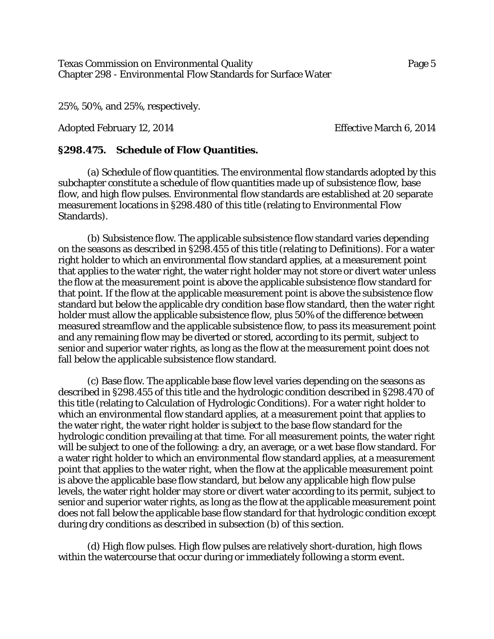Texas Commission on Environmental Quality Page 5 Chapter 298 - Environmental Flow Standards for Surface Water

25%, 50%, and 25%, respectively.

Adopted February 12, 2014 Effective March 6, 2014

## **§298.475. Schedule of Flow Quantities.**

(a) Schedule of flow quantities. The environmental flow standards adopted by this subchapter constitute a schedule of flow quantities made up of subsistence flow, base flow, and high flow pulses. Environmental flow standards are established at 20 separate measurement locations in §298.480 of this title (relating to Environmental Flow Standards).

(b) Subsistence flow. The applicable subsistence flow standard varies depending on the seasons as described in §298.455 of this title (relating to Definitions). For a water right holder to which an environmental flow standard applies, at a measurement point that applies to the water right, the water right holder may not store or divert water unless the flow at the measurement point is above the applicable subsistence flow standard for that point. If the flow at the applicable measurement point is above the subsistence flow standard but below the applicable dry condition base flow standard, then the water right holder must allow the applicable subsistence flow, plus 50% of the difference between measured streamflow and the applicable subsistence flow, to pass its measurement point and any remaining flow may be diverted or stored, according to its permit, subject to senior and superior water rights, as long as the flow at the measurement point does not fall below the applicable subsistence flow standard.

(c) Base flow. The applicable base flow level varies depending on the seasons as described in §298.455 of this title and the hydrologic condition described in §298.470 of this title (relating to Calculation of Hydrologic Conditions). For a water right holder to which an environmental flow standard applies, at a measurement point that applies to the water right, the water right holder is subject to the base flow standard for the hydrologic condition prevailing at that time. For all measurement points, the water right will be subject to one of the following: a dry, an average, or a wet base flow standard. For a water right holder to which an environmental flow standard applies, at a measurement point that applies to the water right, when the flow at the applicable measurement point is above the applicable base flow standard, but below any applicable high flow pulse levels, the water right holder may store or divert water according to its permit, subject to senior and superior water rights, as long as the flow at the applicable measurement point does not fall below the applicable base flow standard for that hydrologic condition except during dry conditions as described in subsection (b) of this section.

(d) High flow pulses. High flow pulses are relatively short-duration, high flows within the watercourse that occur during or immediately following a storm event.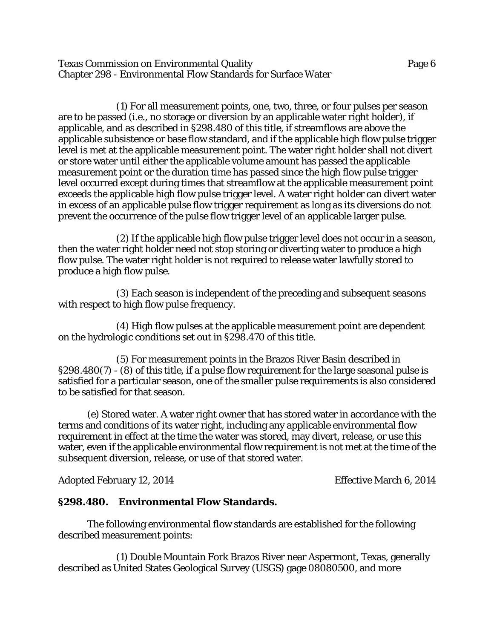Texas Commission on Environmental Quality Page 6 Chapter 298 - Environmental Flow Standards for Surface Water

(1) For all measurement points, one, two, three, or four pulses per season are to be passed (i.e., no storage or diversion by an applicable water right holder), if applicable, and as described in §298.480 of this title, if streamflows are above the applicable subsistence or base flow standard, and if the applicable high flow pulse trigger level is met at the applicable measurement point. The water right holder shall not divert or store water until either the applicable volume amount has passed the applicable measurement point or the duration time has passed since the high flow pulse trigger level occurred except during times that streamflow at the applicable measurement point exceeds the applicable high flow pulse trigger level. A water right holder can divert water in excess of an applicable pulse flow trigger requirement as long as its diversions do not prevent the occurrence of the pulse flow trigger level of an applicable larger pulse.

(2) If the applicable high flow pulse trigger level does not occur in a season, then the water right holder need not stop storing or diverting water to produce a high flow pulse. The water right holder is not required to release water lawfully stored to produce a high flow pulse.

(3) Each season is independent of the preceding and subsequent seasons with respect to high flow pulse frequency.

(4) High flow pulses at the applicable measurement point are dependent on the hydrologic conditions set out in §298.470 of this title.

(5) For measurement points in the Brazos River Basin described in §298.480(7) - (8) of this title, if a pulse flow requirement for the large seasonal pulse is satisfied for a particular season, one of the smaller pulse requirements is also considered to be satisfied for that season.

(e) Stored water. A water right owner that has stored water in accordance with the terms and conditions of its water right, including any applicable environmental flow requirement in effect at the time the water was stored, may divert, release, or use this water, even if the applicable environmental flow requirement is not met at the time of the subsequent diversion, release, or use of that stored water.

Adopted February 12, 2014 Effective March 6, 2014

#### **§298.480. Environmental Flow Standards.**

The following environmental flow standards are established for the following described measurement points:

(1) Double Mountain Fork Brazos River near Aspermont, Texas, generally described as United States Geological Survey (USGS) gage 08080500, and more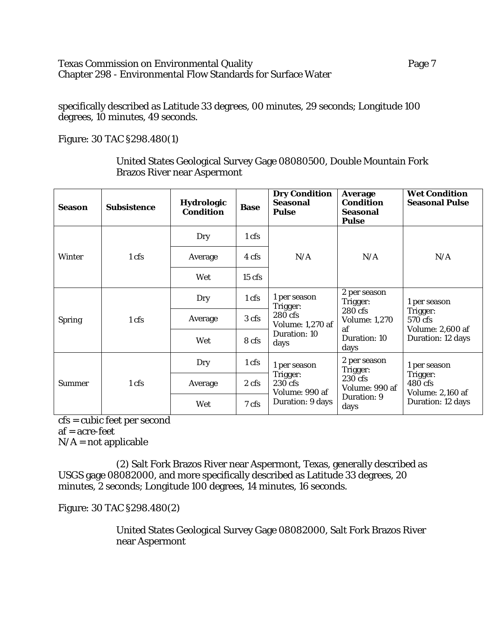## Texas Commission on Environmental Quality **Page 7** Page 7 Chapter 298 - Environmental Flow Standards for Surface Water

specifically described as Latitude 33 degrees, 00 minutes, 29 seconds; Longitude 100 degrees, 10 minutes, 49 seconds.

Figure: 30 TAC §298.480(1)

United States Geological Survey Gage 08080500, Double Mountain Fork Brazos River near Aspermont

| Season        | <b>Subsistence</b> | <b>Hydrologic</b><br><b>Condition</b> | <b>Base</b>     | <b>Dry Condition</b><br><b>Seasonal</b><br><b>Pulse</b>                                | <b>Average</b><br><b>Condition</b><br><b>Seasonal</b><br><b>Pulse</b> | <b>Wet Condition</b><br><b>Seasonal Pulse</b>                       |
|---------------|--------------------|---------------------------------------|-----------------|----------------------------------------------------------------------------------------|-----------------------------------------------------------------------|---------------------------------------------------------------------|
|               |                    | Dry                                   | $1 \text{ cfs}$ |                                                                                        |                                                                       |                                                                     |
| <b>Winter</b> | 1 cfs              | Average                               | 4 cfs           | N/A                                                                                    | N/A                                                                   | N/A                                                                 |
|               |                    | Wet                                   | $15$ cfs        |                                                                                        |                                                                       |                                                                     |
|               | 1 cfs              | Dry                                   | 1 cfs           | 1 per season<br>Trigger:<br>280 cfs<br><b>Volume: 1,270 af</b><br>Duration: 10<br>days | 2 per season<br>Trigger:                                              | 1 per season                                                        |
| <b>Spring</b> |                    | Average                               | 3 cfs           |                                                                                        | 280 cfs<br><b>Volume: 1,270</b><br>af<br>Duration: 10<br>days         | Trigger:<br>570 cfs<br><b>Volume: 2,600 af</b><br>Duration: 12 days |
|               |                    | Wet                                   | 8 cfs           |                                                                                        |                                                                       |                                                                     |
|               |                    | Dry                                   | 1 cfs           | 1 per season                                                                           | 2 per season<br>Trigger:                                              | 1 per season                                                        |
| <b>Summer</b> | 1 cfs              | Average                               | 2 cfs           | Trigger:<br>230 cfs<br>Volume: 990 af<br>Duration: 9 days                              | 230 cfs<br>Volume: 990 af                                             | Trigger:<br>480 cfs                                                 |
|               |                    | Wet                                   | 7 cfs           |                                                                                        | Duration: 9<br>days                                                   | <b>Volume: 2,160 af</b><br>Duration: 12 days                        |

cfs = cubic feet per second af = acre-feet  $N/A$  = not applicable

(2) Salt Fork Brazos River near Aspermont, Texas, generally described as USGS gage 08082000, and more specifically described as Latitude 33 degrees, 20 minutes, 2 seconds; Longitude 100 degrees, 14 minutes, 16 seconds.

Figure: 30 TAC §298.480(2)

United States Geological Survey Gage 08082000, Salt Fork Brazos River near Aspermont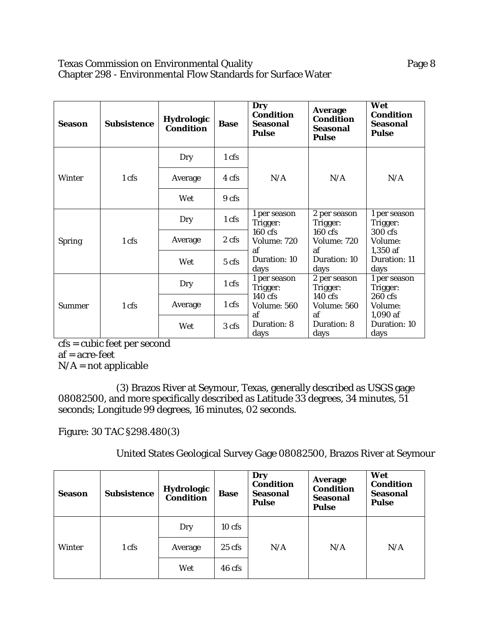## Texas Commission on Environmental Quality **Page 8** Chapter 298 - Environmental Flow Standards for Surface Water

| <b>Season</b> | <b>Subsistence</b> | <b>Hydrologic</b><br><b>Condition</b> | <b>Base</b>  | Dry<br><b>Condition</b><br>Seasonal<br><b>Pulse</b> | <b>Average</b><br><b>Condition</b><br>Seasonal<br><b>Pulse</b> | Wet<br><b>Condition</b><br><b>Seasonal</b><br><b>Pulse</b> |
|---------------|--------------------|---------------------------------------|--------------|-----------------------------------------------------|----------------------------------------------------------------|------------------------------------------------------------|
|               |                    | Dry                                   | 1 cfs        |                                                     |                                                                |                                                            |
| <b>Winter</b> | 1 cfs              | Average                               | 4 cfs        | N/A                                                 | N/A                                                            | N/A                                                        |
|               |                    | Wet<br>9 cfs                          |              |                                                     |                                                                |                                                            |
|               | 1 cfs              | 1 <sub>cfs</sub><br>Dry<br>Trigger:   | 1 per season | 2 per season<br>Trigger:                            | 1 per season<br>Trigger:                                       |                                                            |
| <b>Spring</b> |                    | Average                               | 2 cfs        | 160 cfs<br>Volume: 720                              | $160 \text{ cfs}$<br>Volume: 720                               | 300 cfs<br>Volume:                                         |
|               |                    |                                       | Wet          | $5 \text{ cfs}$                                     | af<br>Duration: 10<br>days                                     | af<br>Duration: 10<br>days                                 |
|               | 1 cfs              | Dry                                   | 1 cfs        | 1 per season<br>Trigger:                            | 2 per season<br>Trigger:                                       | 1 per season<br>Trigger:                                   |
| <b>Summer</b> |                    | Average                               | 1 cfs        | $140 \text{ cfs}$<br>Volume: 560                    | $140 \text{ cfs}$<br><b>Volume: 560</b>                        | 260 cfs<br>Volume:                                         |
|               |                    | Wet                                   | 3 cfs        | af<br>Duration: 8<br>days                           | af<br>Duration: 8<br>days                                      | 1,090 af<br>Duration: 10<br>days                           |

cfs = cubic feet per second af = acre-feet  $N/A = not applicable$ 

(3) Brazos River at Seymour, Texas, generally described as USGS gage 08082500, and more specifically described as Latitude 33 degrees, 34 minutes, 51 seconds; Longitude 99 degrees, 16 minutes, 02 seconds.

Figure: 30 TAC §298.480(3)

United States Geological Survey Gage 08082500, Brazos River at Seymour

| <b>Season</b> | <b>Subsistence</b> | <b>Hydrologic</b><br>Condition | <b>Base</b> | Dry<br><b>Condition</b><br><b>Seasonal</b><br><b>Pulse</b> | <b>Average</b><br><b>Condition</b><br><b>Seasonal</b><br><b>Pulse</b> | Wet<br><b>Condition</b><br><b>Seasonal</b><br><b>Pulse</b> |
|---------------|--------------------|--------------------------------|-------------|------------------------------------------------------------|-----------------------------------------------------------------------|------------------------------------------------------------|
|               |                    | Dry                            | $10$ cfs    |                                                            |                                                                       |                                                            |
| Winter        | 1 cfs              | Average                        | $25$ cfs    | N/A                                                        | N/A                                                                   | N/A                                                        |
|               |                    | Wet                            | 46 cfs      |                                                            |                                                                       |                                                            |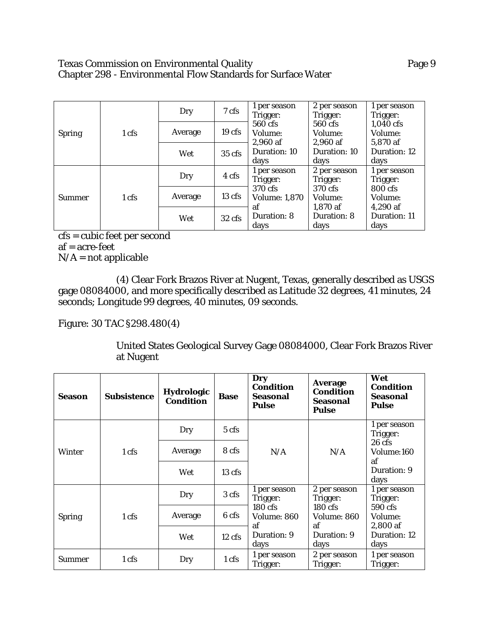#### Texas Commission on Environmental Quality **Page 9** Chapter 298 - Environmental Flow Standards for Surface Water

|               |       |         |                   | 1 per season         | 2 per season | 1 per season |
|---------------|-------|---------|-------------------|----------------------|--------------|--------------|
|               |       | Dry     | 7 cfs             | Trigger:             | Trigger:     | Trigger:     |
| <b>Spring</b> |       |         |                   | 560 cfs              | 560 cfs      | 1,040 cfs    |
|               | 1 cfs | Average | 19 <sub>cts</sub> | Volume:              | Volume:      | Volume:      |
|               |       |         |                   | $2,960$ af           | $2,960$ af   | 5,870 af     |
|               |       | Wet     | $35 \text{ cfs}$  | Duration: 10         | Duration: 10 | Duration: 12 |
|               |       |         |                   | days                 | days         | days         |
|               |       | Dry     | 4 cfs             | 1 per season         | 2 per season | 1 per season |
|               |       |         |                   | Trigger:             | Trigger:     | Trigger:     |
|               |       |         | $13 \text{ cfs}$  | 370 cfs              | 370 cfs      | 800 cfs      |
| <b>Summer</b> | 1 cfs | Average |                   | <b>Volume: 1,870</b> | Volume:      | Volume:      |
|               |       |         |                   | af                   | 1,870 af     | $4,290$ af   |
|               |       | Wet     | $32 \text{ cfs}$  | Duration: 8          | Duration: 8  | Duration: 11 |
|               |       |         |                   | days                 | days         | days         |

cfs = cubic feet per second af = acre-feet  $N/A$  = not applicable

(4) Clear Fork Brazos River at Nugent, Texas, generally described as USGS gage 08084000, and more specifically described as Latitude 32 degrees, 41 minutes, 24 seconds; Longitude 99 degrees, 40 minutes, 09 seconds.

## Figure: 30 TAC §298.480(4)

United States Geological Survey Gage 08084000, Clear Fork Brazos River at Nugent

| Season        | <b>Subsistence</b> | <b>Hydrologic</b><br>Condition | <b>Base</b>      | Dry<br><b>Condition</b><br>Seasonal<br><b>Pulse</b> | <b>Average</b><br>Condition<br><b>Seasonal</b><br>Pulse | Wet<br><b>Condition</b><br>Seasonal<br><b>Pulse</b> |
|---------------|--------------------|--------------------------------|------------------|-----------------------------------------------------|---------------------------------------------------------|-----------------------------------------------------|
|               |                    | Dry                            | 5 cfs            |                                                     |                                                         | 1 per season<br>Trigger:                            |
| Winter        | 1 cfs              | Average                        | 8 cfs            | N/A                                                 | N/A                                                     | $26 \text{ cfs}$<br>Volume:160<br>af                |
|               |                    | Wet                            | $13 \text{ cfs}$ |                                                     |                                                         | Duration: 9<br>days                                 |
|               | 1 cfs              | Dry                            | 3 cfs            | 1 per season<br>Trigger:                            | 2 per season<br>Trigger:                                | 1 per season<br>Trigger:                            |
| <b>Spring</b> |                    | Average                        | 6 cfs            | $180$ cfs<br>Volume: 860<br>af                      | $180$ cfs<br><b>Volume: 860</b><br>af                   | 590 cfs<br>Volume:<br>2,800 af                      |
|               |                    | Wet                            | $12 \text{ cfs}$ | Duration: 9<br>days                                 | Duration: 9<br>days                                     | Duration: 12<br>days                                |
| <b>Summer</b> | 1 cfs              | Dry                            | $1 \text{ cfs}$  | 1 per season<br>Trigger:                            | 2 per season<br>Trigger:                                | 1 per season<br>Trigger:                            |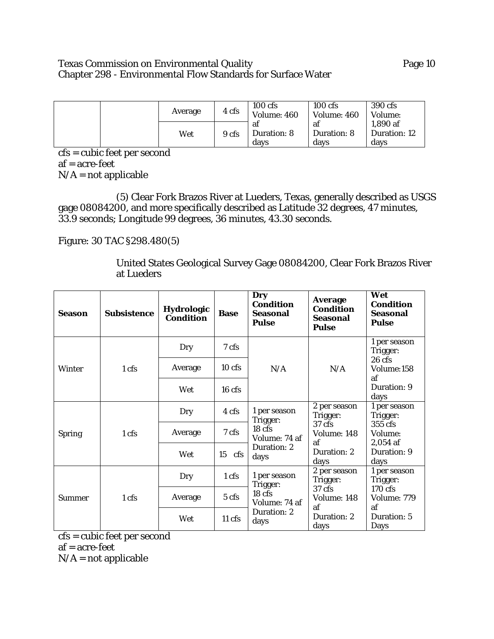## Texas Commission on Environmental Quality **Page 10** Page 10 Chapter 298 - Environmental Flow Standards for Surface Water

| Average | 4 cfs | $100$ cfs<br>Volume: 460  | $100 \text{ cfs}$<br>Volume: 460 | 390 cfs<br>Volume:               |
|---------|-------|---------------------------|----------------------------------|----------------------------------|
| Wet     | 9 cfs | ai<br>Duration: 8<br>davs | ai<br><b>Duration: 8</b><br>days | 1,890 af<br>Duration: 12<br>davs |

cfs = cubic feet per second af = acre-feet  $N/A$  = not applicable

(5) Clear Fork Brazos River at Lueders, Texas, generally described as USGS gage 08084200, and more specifically described as Latitude 32 degrees, 47 minutes, 33.9 seconds; Longitude 99 degrees, 36 minutes, 43.30 seconds.

Figure: 30 TAC §298.480(5)

United States Geological Survey Gage 08084200, Clear Fork Brazos River at Lueders

| Season        | <b>Subsistence</b> | <b>Hydrologic</b><br><b>Condition</b> | <b>Base</b>      | Dry<br><b>Condition</b><br><b>Seasonal</b><br><b>Pulse</b> | <b>Average</b><br><b>Condition</b><br>Seasonal<br><b>Pulse</b> | Wet<br><b>Condition</b><br><b>Seasonal</b><br><b>Pulse</b> |
|---------------|--------------------|---------------------------------------|------------------|------------------------------------------------------------|----------------------------------------------------------------|------------------------------------------------------------|
|               |                    | Dry                                   | 7 cfs            |                                                            |                                                                | 1 per season<br>Trigger:                                   |
| <b>Winter</b> | 1 cfs              | Average                               | 10 cfs           | N/A                                                        | N/A                                                            | $26$ cfs<br>Volume:158<br>af                               |
|               |                    | Wet                                   | $16$ cfs         |                                                            |                                                                | Duration: 9<br>days                                        |
|               | 1 cfs              | 1 per season<br>4 cfs<br>Dry          | Trigger:         | 2 per season<br>Trigger:                                   | 1 per season<br>Trigger:                                       |                                                            |
| <b>Spring</b> |                    | Average                               | 7 cfs            | 18 <sub>cfs</sub><br>Volume: 74 af<br>Duration: 2<br>days  | 37 cfs<br>Volume: 148<br>af<br>Duration: 2<br>days             | 355 cfs<br>Volume:<br>$2,054$ af                           |
|               |                    | Wet                                   | $15$ cfs         |                                                            |                                                                | Duration: 9<br>days                                        |
|               |                    | Dry                                   | 1 cfs            | 1 per season<br>Trigger:                                   | 2 per season<br>Trigger:                                       | 1 per season<br>Trigger:                                   |
| <b>Summer</b> | 1 cfs              | Average                               | 5 cfs            | $18$ cfs<br>Volume: 74 af                                  | 37 <sub>cfs</sub><br>Volume: 148<br>af                         | 170 cfs<br>Volume: 779<br>af                               |
|               |                    | Wet                                   | $11 \text{ cfs}$ | Duration: 2<br>days                                        | Duration: 2<br>days                                            | Duration: 5<br>Days                                        |

cfs = cubic feet per second af = acre-feet  $N/A$  = not applicable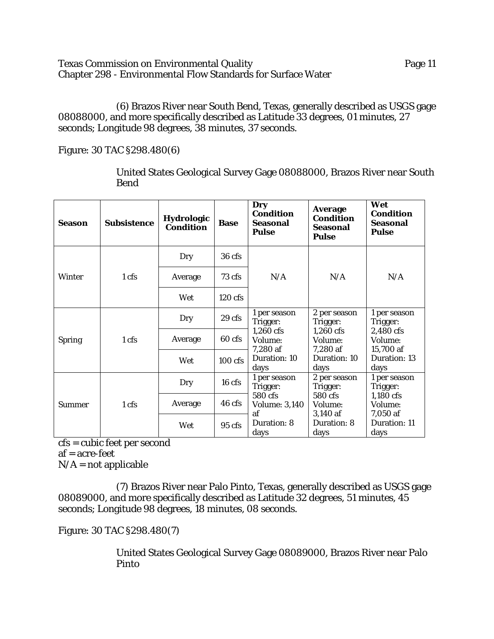Texas Commission on Environmental Quality Page 11 Chapter 298 - Environmental Flow Standards for Surface Water

(6) Brazos River near South Bend, Texas, generally described as USGS gage 08088000, and more specifically described as Latitude 33 degrees, 01 minutes, 27 seconds; Longitude 98 degrees, 38 minutes, 37 seconds.

Figure: 30 TAC §298.480(6)

United States Geological Survey Gage 08088000, Brazos River near South Bend

| <b>Season</b> | <b>Subsistence</b> | Hydrologic<br><b>Condition</b> | <b>Base</b>       | Dry<br><b>Condition</b><br><b>Seasonal</b><br><b>Pulse</b> | <b>Average</b><br><b>Condition</b><br>Seasonal<br><b>Pulse</b> | Wet<br><b>Condition</b><br><b>Seasonal</b><br><b>Pulse</b> |                                  |
|---------------|--------------------|--------------------------------|-------------------|------------------------------------------------------------|----------------------------------------------------------------|------------------------------------------------------------|----------------------------------|
|               |                    | Dry                            | 36 cfs            |                                                            |                                                                |                                                            |                                  |
| Winter        | 1 cfs              | Average                        | 73 cfs            | N/A                                                        | N/A                                                            | N/A                                                        |                                  |
|               |                    | Wet                            | $120$ cfs         |                                                            |                                                                |                                                            |                                  |
|               | 1 cfs              | Dry                            | 29 <sub>cfs</sub> | 1 per season<br>Trigger:                                   | 2 per season<br>Trigger:                                       | 1 per season<br>Trigger:                                   |                                  |
| <b>Spring</b> |                    | Average                        | 60 cfs            | $1,260$ cfs<br>Volume:                                     | $1,260$ cfs<br>Volume:<br>7,280 af                             | 2,480 cfs<br>Volume:<br>15,700 af                          |                                  |
|               |                    |                                | Wet               | $100 \text{ cfs}$                                          | 7,280 af<br>Duration: 10<br>days                               | Duration: 10<br>days                                       | Duration: 13<br>days             |
|               |                    | Dry                            | 16 cfs            | 1 per season<br>Trigger:                                   | 2 per season<br>Trigger:                                       | 1 per season<br>Trigger:                                   |                                  |
| <b>Summer</b> | 1 cfs              | Average                        | 46 cfs            | 580 cfs<br><b>Volume: 3,140</b>                            | 580 cfs<br>Volume:                                             | 1,180 cfs<br>Volume:                                       |                                  |
|               |                    |                                | Wet               | $95 \text{ cfs}$                                           | af<br>Duration: 8<br>days                                      | 3,140 af<br>Duration: 8<br>days                            | 7,050 af<br>Duration: 11<br>days |

cfs = cubic feet per second af = acre-feet

 $N/A$  = not applicable

(7) Brazos River near Palo Pinto, Texas, generally described as USGS gage 08089000, and more specifically described as Latitude 32 degrees, 51 minutes, 45 seconds; Longitude 98 degrees, 18 minutes, 08 seconds.

Figure: 30 TAC §298.480(7)

United States Geological Survey Gage 08089000, Brazos River near Palo Pinto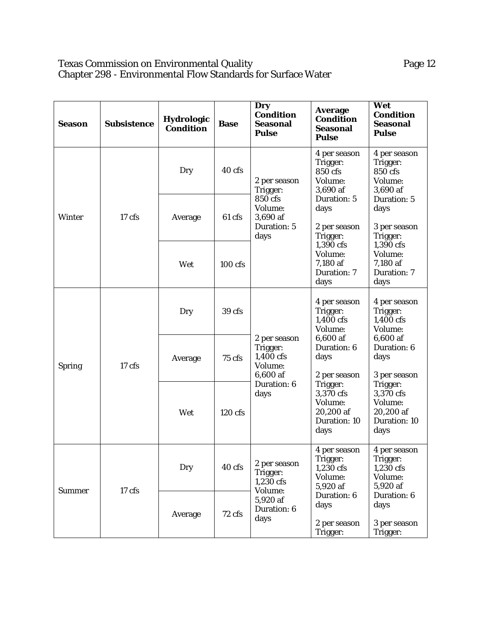#### Texas Commission on Environmental Quality Page 12 Chapter 298 - Environmental Flow Standards for Surface Water

| <b>Season</b> | <b>Subsistence</b> | <b>Hydrologic</b><br><b>Condition</b> | <b>Base</b> | Dry<br><b>Condition</b><br><b>Seasonal</b><br><b>Pulse</b>   | <b>Average</b><br><b>Condition</b><br><b>Seasonal</b><br><b>Pulse</b> | Wet<br><b>Condition</b><br><b>Seasonal</b><br><b>Pulse</b>            |
|---------------|--------------------|---------------------------------------|-------------|--------------------------------------------------------------|-----------------------------------------------------------------------|-----------------------------------------------------------------------|
|               |                    | Dry                                   | 40 cfs      | 2 per season<br>Trigger:                                     | 4 per season<br>Trigger:<br>850 cfs<br>Volume:<br>3,690 af            | 4 per season<br>Trigger:<br>850 cfs<br>Volume:<br>3,690 af            |
| <b>Winter</b> | $17$ cfs           | Average                               | 61 cfs      | 850 cfs<br>Volume:<br>3,690 af<br>Duration: 5<br>days        | Duration: 5<br>days<br>2 per season<br>Trigger:                       | Duration: 5<br>days<br>3 per season<br>Trigger:                       |
|               |                    | Wet                                   | $100$ cfs   |                                                              | 1,390 cfs<br>Volume:<br>7,180 af<br><b>Duration: 7</b><br>days        | 1,390 cfs<br>Volume:<br>7,180 af<br><b>Duration: 7</b><br>days        |
|               | 17 cfs             | Dry                                   | 39 cfs      | 2 per season<br>Trigger:<br>1,400 cfs<br>Volume:<br>6,600 af | 4 per season<br>Trigger:<br>1,400 cfs<br>Volume:                      | 4 per season<br>Trigger:<br>1,400 cfs<br>Volume:                      |
| <b>Spring</b> |                    | Average                               | 75 cfs      |                                                              | 6,600 af<br>Duration: 6<br>days<br>2 per season                       | 6,600 af<br>Duration: 6<br>days<br>3 per season                       |
|               |                    | Wet                                   | $120$ cfs   | Duration: 6<br>days                                          | Trigger:<br>3,370 cfs<br>Volume:<br>20,200 af<br>Duration: 10<br>days | Trigger:<br>3,370 cfs<br>Volume:<br>20,200 af<br>Duration: 10<br>days |
| <b>Summer</b> |                    | Dry                                   | 40 cfs      | $2\,\mathrm{per\,s}$ eason<br>Trigger:<br>1,230 cfs          | 4 per season<br>Trigger:<br>1,230 cfs<br>Volume:<br>5,920 af          | 4 per season<br>Trigger:<br>1,230 cfs<br>Volume:<br>5,920 af          |
|               | 17 cfs             | Average                               | 72 cfs      | Volume:<br>5,920 af<br>Duration: 6<br>days                   | Duration: 6<br>days<br>2 per season<br>Trigger:                       | Duration: 6<br>days<br>3 per season<br>Trigger:                       |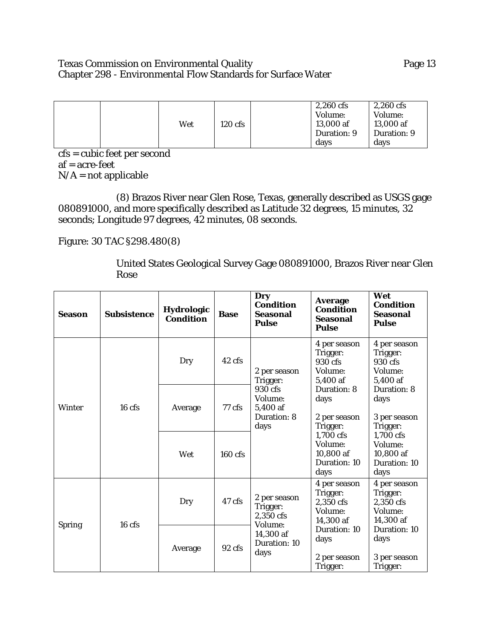# Texas Commission on Environmental Quality **Page 13** Page 13 Chapter 298 - Environmental Flow Standards for Surface Water

|  |     |           | $2,260$ cfs | $2,260$ cfs |
|--|-----|-----------|-------------|-------------|
|  |     |           | Volume:     | Volume:     |
|  | Wet | $120$ cfs | 13,000 af   | 13,000 af   |
|  |     |           | Duration: 9 | Duration: 9 |
|  |     |           | davs        | days        |

cfs = cubic feet per second af = acre-feet  $N/A$  = not applicable

(8) Brazos River near Glen Rose, Texas, generally described as USGS gage 080891000, and more specifically described as Latitude 32 degrees, 15 minutes, 32 seconds; Longitude 97 degrees, 42 minutes, 08 seconds.

Figure: 30 TAC §298.480(8)

United States Geological Survey Gage 080891000, Brazos River near Glen Rose

| <b>Season</b> | <b>Subsistence</b> | <b>Hydrologic</b><br><b>Condition</b> | <b>Base</b>       | <b>Dry</b><br><b>Condition</b><br><b>Seasonal</b><br><b>Pulse</b>                     | <b>Average</b><br><b>Condition</b><br>Seasonal<br><b>Pulse</b>                                                                                                                                        | Wet<br><b>Condition</b><br><b>Seasonal</b><br><b>Pulse</b>    |
|---------------|--------------------|---------------------------------------|-------------------|---------------------------------------------------------------------------------------|-------------------------------------------------------------------------------------------------------------------------------------------------------------------------------------------------------|---------------------------------------------------------------|
| <b>Winter</b> | 16 <sub>cfs</sub>  | Dry                                   | 42 cfs            | 2 per season<br>Trigger:<br>930 cfs<br>Volume:<br>5,400 af<br>Duration: 8<br>days     | 4 per season<br>Trigger:<br>Trigger:<br>930 cfs<br>930 cfs<br>Volume:<br>Volume:<br>5,400 af<br>5,400 af<br><b>Duration: 8</b><br>Duration: 8<br>days<br>days<br>2 per season<br>Trigger:<br>Trigger: | 4 per season                                                  |
|               |                    | Average                               | 77 cfs            |                                                                                       |                                                                                                                                                                                                       | 3 per season                                                  |
|               |                    | Wet                                   | $160 \text{ cfs}$ |                                                                                       | 1,700 cfs<br>Volume:<br>10,800 af<br>Duration: 10<br>days                                                                                                                                             | 1,700 cfs<br>Volume:<br>10,800 af<br>Duration: 10<br>days     |
| <b>Spring</b> | 16 cfs             | Dry                                   | 47 cfs            | 2 per season<br>Trigger:<br>2,350 cfs<br>Volume:<br>14,300 af<br>Duration: 10<br>days | 4 per season<br>Trigger:<br>2,350 cfs<br>Volume:<br>14,300 af                                                                                                                                         | 4 per season<br>Trigger:<br>2,350 cfs<br>Volume:<br>14,300 af |
|               |                    | Average                               | 92 cfs            |                                                                                       | Duration: 10<br>days<br>2 per season<br>Trigger:                                                                                                                                                      | Duration: 10<br>days<br>3 per season<br>Trigger:              |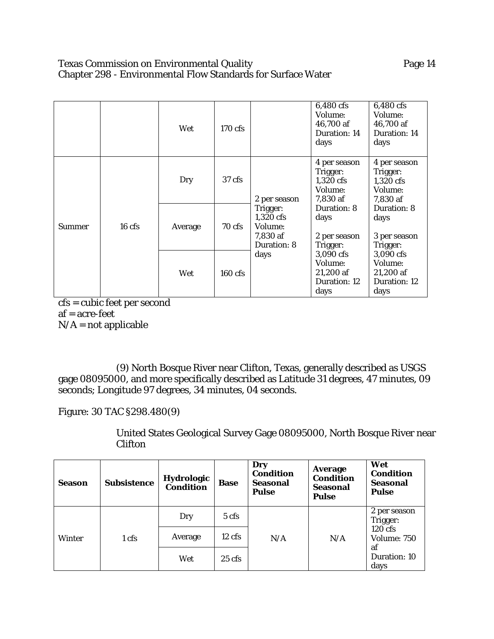# Texas Commission on Environmental Quality **Page 14** Chapter 298 - Environmental Flow Standards for Surface Water

|               |          | Wet     | 170 cfs   |                                                                       | 6,480 cfs<br>Volume:<br>46,700 af<br><b>Duration: 14</b><br>days | 6,480 cfs<br>Volume:<br>46,700 af<br>Duration: 14<br>days    |
|---------------|----------|---------|-----------|-----------------------------------------------------------------------|------------------------------------------------------------------|--------------------------------------------------------------|
|               |          | Dry     | $37$ cfs  | 2 per season                                                          | 4 per season<br>Trigger:<br>1,320 cfs<br>Volume:<br>7,830 af     | 4 per season<br>Trigger:<br>1,320 cfs<br>Volume:<br>7,830 af |
| <b>Summer</b> | $16$ cfs | Average | 70 cfs    | Trigger:<br>$1,320$ cfs<br>Volume:<br>7,830 af<br>Duration: 8<br>days | Duration: 8<br>days<br>2 per season<br>Trigger:                  | Duration: 8<br>days<br>3 per season<br>Trigger:              |
|               |          | Wet     | $160$ cfs |                                                                       | 3,090 cfs<br>Volume:<br>21,200 af<br>Duration: 12<br>days        | 3,090 cfs<br>Volume:<br>21,200 af<br>Duration: 12<br>days    |

cfs = cubic feet per second af = acre-feet  $N/A$  = not applicable

(9) North Bosque River near Clifton, Texas, generally described as USGS gage 08095000, and more specifically described as Latitude 31 degrees, 47 minutes, 09 seconds; Longitude 97 degrees, 34 minutes, 04 seconds.

Figure: 30 TAC §298.480(9)

United States Geological Survey Gage 08095000, North Bosque River near Clifton

| <b>Season</b> | <b>Subsistence</b> | <b>Hydrologic</b><br>Condition | <b>Base</b>      | Dry<br><b>Condition</b><br>Seasonal<br><b>Pulse</b> | <b>Average</b><br><b>Condition</b><br><b>Seasonal</b><br><b>Pulse</b> | Wet<br><b>Condition</b><br><b>Seasonal</b><br><b>Pulse</b> |
|---------------|--------------------|--------------------------------|------------------|-----------------------------------------------------|-----------------------------------------------------------------------|------------------------------------------------------------|
| Winter        | 1 cfs              | Dry                            | $5 \text{ cfs}$  | N/A                                                 | N/A                                                                   | 2 per season<br>Trigger:                                   |
|               |                    | Average                        | $12 \text{ cfs}$ |                                                     |                                                                       | 120 cfs<br>Volume: 750                                     |
|               |                    | Wet                            | $25 \text{ cfs}$ |                                                     |                                                                       | af<br>Duration: 10<br>days                                 |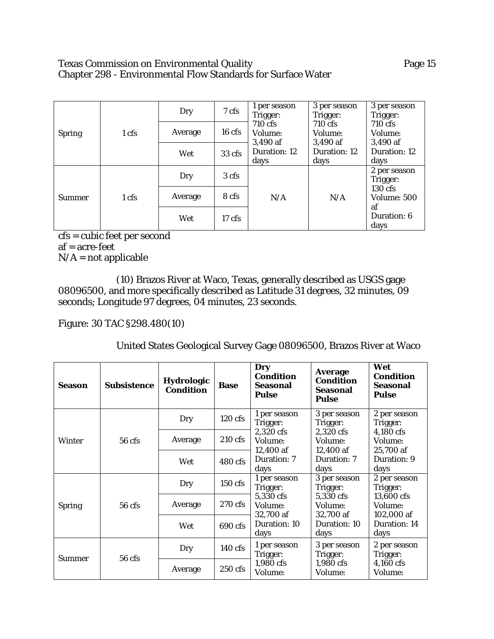## Texas Commission on Environmental Quality **Page 15** Page 15 Chapter 298 - Environmental Flow Standards for Surface Water

| <b>Spring</b> |       | Dry     | 7 cfs            | 1 per season<br>Trigger:<br>710 cfs<br>Volume:<br>3,490 af<br>Duration: 12<br>days | 3 per season<br>3 per season<br>Trigger:<br>Trigger:   |                                  |
|---------------|-------|---------|------------------|------------------------------------------------------------------------------------|--------------------------------------------------------|----------------------------------|
|               | 1 cfs | Average | $16 \text{ cfs}$ |                                                                                    | 710 cfs<br>Volume:<br>3,490 af<br>Duration: 12<br>days | 710 cfs<br>Volume:               |
|               |       | Wet     | 33 cfs           |                                                                                    |                                                        | 3,490 af<br>Duration: 12<br>days |
| <b>Summer</b> | 1 cfs | Dry     | 3 cfs            | N/A                                                                                | N/A                                                    | 2 per season<br>Trigger:         |
|               |       | Average | 8 cfs            |                                                                                    |                                                        | 130 cfs<br>Volume: 500<br>af     |
|               |       | Wet     | 17 <sub>cf</sub> |                                                                                    |                                                        | Duration: 6<br>days              |

cfs = cubic feet per second af = acre-feet  $N/A$  = not applicable

(10) Brazos River at Waco, Texas, generally described as USGS gage 08096500, and more specifically described as Latitude 31 degrees, 32 minutes, 09 seconds; Longitude 97 degrees, 04 minutes, 23 seconds.

## Figure: 30 TAC §298.480(10)

# United States Geological Survey Gage 08096500, Brazos River at Waco

| <b>Season</b> | <b>Subsistence</b> | <b>Hydrologic</b><br><b>Condition</b> | <b>Base</b>       | Dry<br><b>Condition</b><br><b>Seasonal</b><br><b>Pulse</b>                            | <b>Average</b><br><b>Condition</b><br><b>Seasonal</b><br><b>Pulse</b>                             | Wet<br><b>Condition</b><br><b>Seasonal</b><br><b>Pulse</b>      |
|---------------|--------------------|---------------------------------------|-------------------|---------------------------------------------------------------------------------------|---------------------------------------------------------------------------------------------------|-----------------------------------------------------------------|
| Winter        |                    | Dry                                   | $120$ cfs         | 1 per season<br>Trigger:                                                              | 3 per season<br>Trigger:<br>Trigger:<br>2,320 cfs<br>4,180 cfs<br>Volume:<br>Volume:<br>12,400 af | 2 per season                                                    |
|               | $56$ cfs           | Average                               | 210 cfs           | 2,320 cfs<br>Volume:<br>12,400 af<br>Duration: 7<br>days                              |                                                                                                   | 25,700 af                                                       |
|               |                    | Wet                                   | 480 cfs           |                                                                                       | Duration: 7<br>days                                                                               | Duration: 9<br>days                                             |
|               | $56$ cfs           | Dry                                   | $150$ cfs         | 1 per season<br>Trigger:<br>5,330 cfs<br>Volume:<br>32,700 af<br>Duration: 10<br>days | 3 per season<br>Trigger:                                                                          | 2 per season<br>Trigger:<br>13,600 cfs<br>Volume:<br>102,000 af |
| <b>Spring</b> |                    | Average                               | 270 cfs           |                                                                                       | 5,330 cfs<br>Volume:<br>32,700 af                                                                 |                                                                 |
|               |                    | Wet                                   | 690 cfs           |                                                                                       | Duration: 10<br>days                                                                              | Duration: 14<br>days                                            |
| <b>Summer</b> | $56$ cfs           | Dry                                   | $140 \text{ cfs}$ | 1 per season<br>Trigger:                                                              | 3 per season<br>Trigger:                                                                          | 2 per season<br>Trigger:                                        |
|               |                    | Average                               | 250 cfs           | 1,980 cfs<br>Volume:                                                                  | 1,980 cfs<br>Volume:                                                                              | 4,160 cfs<br>Volume:                                            |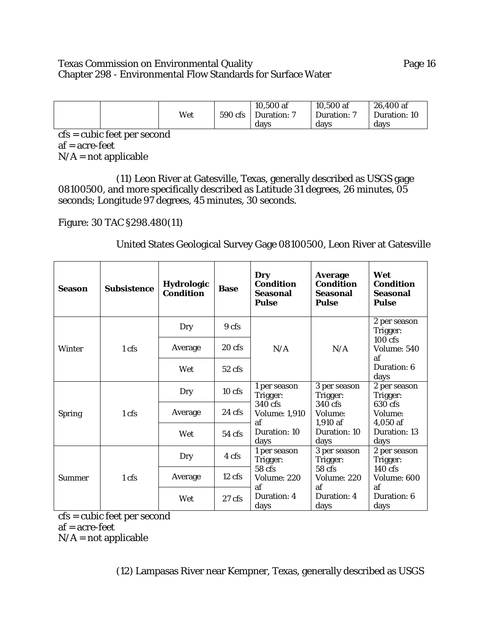## Texas Commission on Environmental Quality **Page 16** Chapter 298 - Environmental Flow Standards for Surface Water

| Wet | 590 cfs | $10,500$ af<br>Duration: 7 | $10,500$ af<br>Duration: 7 | 26,400 af<br>Duration: 10 |
|-----|---------|----------------------------|----------------------------|---------------------------|
|     |         | davs                       | davs                       | davs                      |

cfs = cubic feet per second af = acre-feet  $N/A$  = not applicable

(11) Leon River at Gatesville, Texas, generally described as USGS gage 08100500, and more specifically described as Latitude 31 degrees, 26 minutes, 05 seconds; Longitude 97 degrees, 45 minutes, 30 seconds.

Figure: 30 TAC §298.480(11)

United States Geological Survey Gage 08100500, Leon River at Gatesville

| <b>Season</b> | <b>Subsistence</b> | Hydrologic<br><b>Condition</b> | <b>Base</b>      | Dry<br><b>Condition</b><br><b>Seasonal</b><br><b>Pulse</b>                                | <b>Average</b><br><b>Condition</b><br>Seasonal<br><b>Pulse</b> | Wet<br><b>Condition</b><br>Seasonal<br><b>Pulse</b> |
|---------------|--------------------|--------------------------------|------------------|-------------------------------------------------------------------------------------------|----------------------------------------------------------------|-----------------------------------------------------|
| Winter        |                    | Dry                            | 9 cfs            |                                                                                           |                                                                | 2 per season<br>Trigger:                            |
|               | 1 cfs              | Average                        | $20$ cfs         | N/A                                                                                       | N/A                                                            | $100$ cfs<br>Volume: 540<br>af                      |
|               |                    | Wet                            | $52 \text{ cfs}$ |                                                                                           |                                                                | Duration: 6<br>days                                 |
|               | 1 cfs              | Dry                            | $10$ cfs         | 1 per season<br>Trigger:<br>340 cfs<br><b>Volume: 1,910</b><br>af<br>Duration: 10<br>days | 3 per season<br>Trigger:                                       | 2 per season<br>Trigger:                            |
| <b>Spring</b> |                    | Average                        | 24 cfs           |                                                                                           | 340 cfs<br>Volume:<br>1,910 af                                 | 630 cfs<br>Volume:<br>4,050 af                      |
|               |                    | Wet                            | 54 cfs           |                                                                                           | Duration: 10<br>days                                           | Duration: 13<br>days                                |
| Summer        | 1 cfs              | Dry                            | 4 cfs            | 1 per season<br>Trigger:                                                                  | 3 per season<br>Trigger:                                       | 2 per season<br>Trigger:                            |
|               |                    | Average                        | 12 cfs           | 58 cfs<br>Volume: 220                                                                     | 58 cfs<br>Volume: 220                                          | 140 cfs<br>Volume: 600                              |
|               |                    | Wet                            | $27 \text{ cfs}$ | af<br>Duration: 4<br>days                                                                 | af<br>Duration: 4<br>days                                      | af<br>Duration: 6<br>days                           |

cfs = cubic feet per second af = acre-feet

 $N/A$  = not applicable

(12) Lampasas River near Kempner, Texas, generally described as USGS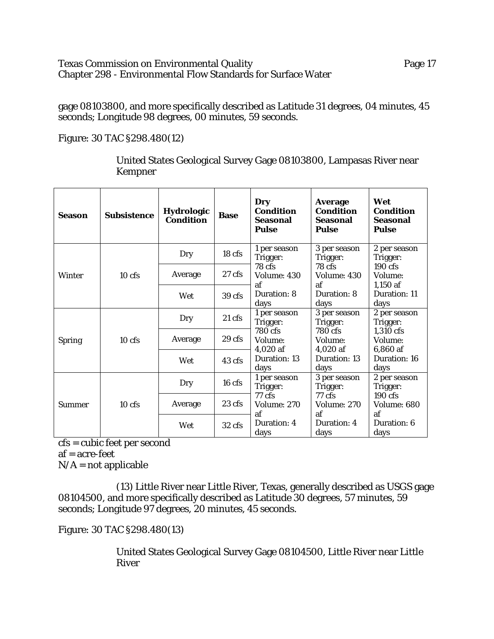### Texas Commission on Environmental Quality Page 17 Chapter 298 - Environmental Flow Standards for Surface Water

gage 08103800, and more specifically described as Latitude 31 degrees, 04 minutes, 45 seconds; Longitude 98 degrees, 00 minutes, 59 seconds.

Figure: 30 TAC §298.480(12)

United States Geological Survey Gage 08103800, Lampasas River near Kempner

| <b>Season</b> | <b>Subsistence</b> | <b>Hydrologic</b><br><b>Condition</b> | <b>Base</b>      | Dry<br><b>Condition</b><br>Seasonal<br><b>Pulse</b>        | <b>Average</b><br><b>Condition</b><br><b>Seasonal</b><br><b>Pulse</b> | Wet<br><b>Condition</b><br>Seasonal<br><b>Pulse</b> |
|---------------|--------------------|---------------------------------------|------------------|------------------------------------------------------------|-----------------------------------------------------------------------|-----------------------------------------------------|
| Winter        |                    | Dry                                   | 18 cfs           | 1 per season<br>Trigger:                                   | 3 per season<br>Trigger:                                              | 2 per season<br>Trigger:                            |
|               | $10$ cfs           | Average                               | $27 \text{ cfs}$ | 78 cfs<br>Volume: 430<br>af<br>Duration: 8<br>days         | 78 cfs<br>Volume: 430<br>Volume:<br>af                                | 190 cfs<br>$1,150$ af                               |
|               |                    | Wet                                   | 39 cfs           |                                                            | Duration: 8<br>days                                                   | Duration: 11<br>days                                |
|               | $10$ cfs           | Dry                                   | $21 \text{ cfs}$ | 1 per season<br>Trigger:<br>780 cfs<br>Volume:<br>4,020 af | 3 per season<br>Trigger:                                              | 2 per season<br>Trigger:                            |
| <b>Spring</b> |                    | Average                               | 29 cfs           |                                                            | 780 cfs<br>Volume:<br>$4,020$ af                                      | 1,310 cfs<br>Volume:<br>6,860 af                    |
|               |                    | Wet                                   | 43 cfs           | Duration: 13<br>days                                       | Duration: 13<br>days                                                  | Duration: 16<br>days                                |
| Summer        | $10$ cfs           | Dry                                   | 16 cfs           | 1 per season<br>Trigger:<br>77 cfs<br>Volume: 270<br>af    | 3 per season<br>Trigger:                                              | 2 per season<br>Trigger:                            |
|               |                    | Average                               | 23 cfs           |                                                            | 77 cfs<br>Volume: 270<br>af                                           | 190 cfs<br>Volume: 680<br>af                        |
|               |                    | Wet                                   | 32 cfs           | Duration: 4<br>days                                        | Duration: 4<br>days                                                   | Duration: 6<br>days                                 |

cfs = cubic feet per second

af = acre-feet

 $N/A$  = not applicable

(13) Little River near Little River, Texas, generally described as USGS gage 08104500, and more specifically described as Latitude 30 degrees, 57 minutes, 59 seconds; Longitude 97 degrees, 20 minutes, 45 seconds.

Figure: 30 TAC §298.480(13)

United States Geological Survey Gage 08104500, Little River near Little River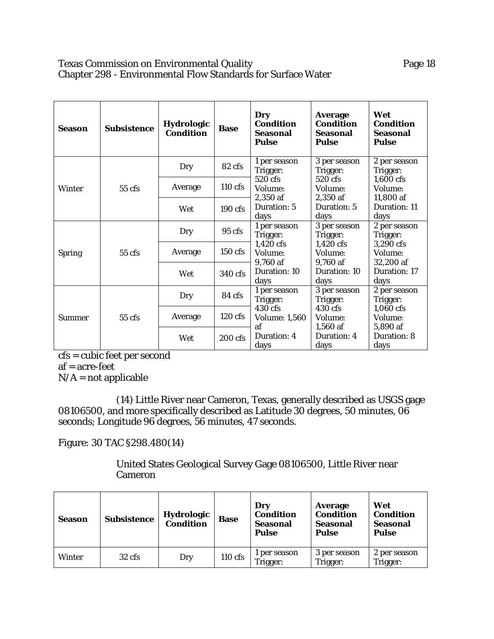## Texas Commission on Environmental Quality **Page 18** Page 18 Chapter 298 - Environmental Flow Standards for Surface Water

| <b>Season</b> | <b>Subsistence</b> | <b>Hydrologic</b><br><b>Condition</b> | <b>Base</b>      | <b>Dry</b><br><b>Condition</b><br><b>Seasonal</b><br><b>Pulse</b> | <b>Average</b><br><b>Condition</b><br><b>Seasonal</b><br><b>Pulse</b> | Wet<br><b>Condition</b><br><b>Seasonal</b><br><b>Pulse</b> |
|---------------|--------------------|---------------------------------------|------------------|-------------------------------------------------------------------|-----------------------------------------------------------------------|------------------------------------------------------------|
| Winter        |                    | Dry                                   | 82 cfs           | 1 per season<br>Trigger:                                          | 3 per season<br>Trigger:                                              | 2 per season<br>Trigger:                                   |
|               | 55 cfs             | Average                               | $110$ cfs        | 520 cfs<br>Volume:                                                | 520 cfs<br>Volume:                                                    | 1,600 cfs<br>Volume:                                       |
|               |                    | Wet                                   | 190 cfs          | 2,350 af<br>Duration: 5<br>days                                   | 2,350 af<br>Duration: 5<br>days                                       | 11,800 af<br>Duration: 11<br>days                          |
|               | $55$ cfs           | Dry                                   | $95 \text{ cfs}$ | 1 per season<br>Trigger:                                          | 3 per season<br>Trigger:                                              | 2 per season<br>Trigger:                                   |
| <b>Spring</b> |                    | Average                               | 150 cfs          | 1,420 cfs<br>Volume:<br>9,760 af                                  | 1,420 cfs<br>Volume:<br>9,760 af                                      | 3,290 cfs<br>Volume:<br>32,200 af                          |
|               |                    | Wet                                   | 340 cfs          | Duration: 10<br>days                                              | Duration: 10<br>days                                                  | Duration: 17<br>days                                       |
| <b>Summer</b> | $55$ cfs           | Dry                                   | 84 cfs           | 1 per season<br>Trigger:                                          | 3 per season<br>Trigger:                                              | 2 per season<br>Trigger:                                   |
|               |                    | Average                               | $120$ cfs        | 430 cfs<br><b>Volume: 1,560</b><br>af                             | 430 cfs<br>Volume:<br>1,560 af                                        | $1,060$ cfs<br>Volume:<br>5,890 af                         |
|               |                    | Wet                                   | 200 cfs          | Duration: 4<br>days                                               | Duration: 4<br>days                                                   | Duration: 8<br>days                                        |

cfs = cubic feet per second af = acre-feet

 $N/A$  = not applicable

(14) Little River near Cameron, Texas, generally described as USGS gage 08106500, and more specifically described as Latitude 30 degrees, 50 minutes, 06 seconds; Longitude 96 degrees, 56 minutes, 47 seconds.

Figure: 30 TAC §298.480(14)

# United States Geological Survey Gage 08106500, Little River near Cameron

| <b>Season</b> | Subsistence      | Hydrologic<br><b>Condition</b> | <b>Base</b> | Dry<br><b>Condition</b><br><b>Seasonal</b><br><b>Pulse</b> | Average<br><b>Condition</b><br>Seasonal<br><b>Pulse</b> | Wet<br><b>Condition</b><br><b>Seasonal</b><br><b>Pulse</b> |
|---------------|------------------|--------------------------------|-------------|------------------------------------------------------------|---------------------------------------------------------|------------------------------------------------------------|
| <b>Winter</b> | $32 \text{ cfs}$ | Dry                            | 110 cfs     | per season<br>Trigger:                                     | 3 per season<br>Trigger:                                | 2 per season<br>Trigger:                                   |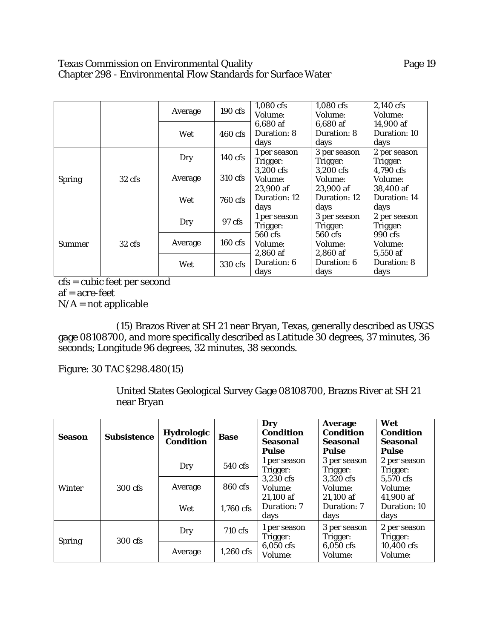## Texas Commission on Environmental Quality **Page 19** Page 19 Chapter 298 - Environmental Flow Standards for Surface Water

|               |                  | Average | $190$ cfs         | 1,080 cfs<br><b>Volume:</b>                                                           | $1,080$ cfs<br>Volume:            | 2,140 cfs<br>Volume:              |
|---------------|------------------|---------|-------------------|---------------------------------------------------------------------------------------|-----------------------------------|-----------------------------------|
|               |                  | Wet     | $460$ cfs         | 6.680 af<br>Duration: 8<br>days                                                       | 6.680 af<br>Duration: 8<br>days   | 14,900 af<br>Duration: 10<br>days |
| <b>Spring</b> | $32 \text{ cfs}$ | Dry     | $140 \text{ cfs}$ | 1 per season<br>Trigger:<br>3,200 cfs<br>Volume:<br>23,900 af<br>Duration: 12<br>days | 3 per season<br>Trigger:          | 2 per season<br>Trigger:          |
|               |                  | Average | 310 cfs           |                                                                                       | 3,200 cfs<br>Volume:<br>23,900 af | 4,790 cfs<br>Volume:<br>38,400 af |
|               |                  | Wet     | 760 cfs           |                                                                                       | Duration: 12<br>days              | Duration: 14<br>days              |
|               | $32 \text{ cfs}$ | Dry     | 97 cfs            | 1 per season<br>Trigger:                                                              | 3 per season<br>Trigger:          | 2 per season<br>Trigger:          |
| Summer        |                  | Average | $160 \text{ cfs}$ | 560 cfs<br>Volume:<br>2,860 af<br>Duration: 6<br>days                                 | 560 cfs<br>Volume:<br>2,860 af    | 990 cfs<br>Volume:<br>5,550 af    |
|               |                  | Wet     | 330 cfs           |                                                                                       | Duration: 6<br>days               | Duration: 8<br>days               |

cfs = cubic feet per second af = acre-feet  $N/A = not$  applicable

(15) Brazos River at SH 21 near Bryan, Texas, generally described as USGS gage 08108700, and more specifically described as Latitude 30 degrees, 37 minutes, 36 seconds; Longitude 96 degrees, 32 minutes, 38 seconds.

Figure: 30 TAC §298.480(15)

United States Geological Survey Gage 08108700, Brazos River at SH 21 near Bryan

| <b>Season</b> | <b>Subsistence</b> | <b>Hydrologic</b><br><b>Condition</b> | <b>Base</b> | Dry<br><b>Condition</b><br>Seasonal<br><b>Pulse</b>                                                                                                                                                                                       | <b>Average</b><br><b>Condition</b><br><b>Seasonal</b><br>Pulse | Wet<br><b>Condition</b><br>Seasonal<br>Pulse |
|---------------|--------------------|---------------------------------------|-------------|-------------------------------------------------------------------------------------------------------------------------------------------------------------------------------------------------------------------------------------------|----------------------------------------------------------------|----------------------------------------------|
| <b>Winter</b> |                    | Dry                                   | 540 cfs     | 3 per season<br>1 per season<br>Trigger:<br>Trigger:<br>Trigger:<br>3,230 cfs<br>3,320 cfs<br>5,570 cfs<br>Volume:<br>Volume:<br>Volume:<br>41,900 af<br>$21.100$ af<br>$21,100$ af<br>Duration: 7<br>Duration: 7<br>days<br>days<br>days |                                                                | 2 per season                                 |
|               | 300 cfs            | Average                               | 860 cfs     |                                                                                                                                                                                                                                           |                                                                |                                              |
|               |                    | Wet                                   | 1,760 cfs   |                                                                                                                                                                                                                                           |                                                                | Duration: 10                                 |
| <b>Spring</b> | 300 cfs            | Dry                                   | 710 cfs     | 1 per season<br>Trigger:<br>6,050 cfs<br>Volume:                                                                                                                                                                                          | 3 per season<br>Trigger:<br>6,050 cfs<br>Volume:               | 2 per season<br>Trigger:                     |
|               |                    | Average                               | $1,260$ cfs |                                                                                                                                                                                                                                           |                                                                | 10,400 cfs<br>Volume:                        |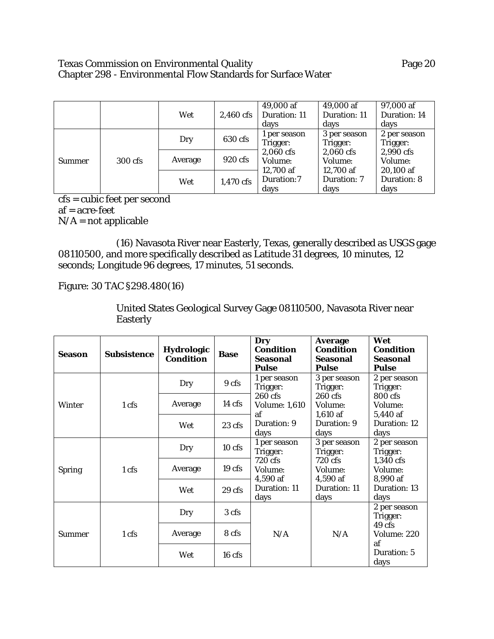## Texas Commission on Environmental Quality **Page 20** Page 20 Chapter 298 - Environmental Flow Standards for Surface Water

|               |         | Wet     | 2,460 cfs | 49,000 af<br>Duration: 11<br>days                                                   | 49,000 af<br>Duration: 11<br>days    | 97,000 af<br>Duration: 14<br>days |
|---------------|---------|---------|-----------|-------------------------------------------------------------------------------------|--------------------------------------|-----------------------------------|
| <b>Summer</b> | 300 cfs | Dry     | 630 cfs   | 1 per season<br>Trigger:<br>2,060 cfs<br>Volume:<br>12,700 af<br>Duration:7<br>days | 3 per season<br>Trigger:<br>Trigger: | 2 per season                      |
|               |         | Average | 920 cfs   |                                                                                     | 2,060 cfs<br>Volume:<br>12,700 af    | 2,990 cfs<br>Volume:<br>20,100 af |
|               |         | Wet     | 1,470 cfs |                                                                                     | Duration: 7<br>days                  | Duration: 8<br>days               |

cfs = cubic feet per second af = acre-feet  $N/A$  = not applicable

(16) Navasota River near Easterly, Texas, generally described as USGS gage 08110500, and more specifically described as Latitude 31 degrees, 10 minutes, 12 seconds; Longitude 96 degrees, 17 minutes, 51 seconds.

Figure: 30 TAC §298.480(16)

United States Geological Survey Gage 08110500, Navasota River near Easterly

| Season        | <b>Subsistence</b> | <b>Hydrologic</b><br><b>Condition</b> | <b>Base</b>       | Dry<br><b>Condition</b><br>Seasonal<br><b>Pulse</b>                                       | <b>Average</b><br><b>Condition</b><br><b>Seasonal</b><br><b>Pulse</b>                                                                     | Wet<br><b>Condition</b><br>Seasonal<br><b>Pulse</b> |
|---------------|--------------------|---------------------------------------|-------------------|-------------------------------------------------------------------------------------------|-------------------------------------------------------------------------------------------------------------------------------------------|-----------------------------------------------------|
| Winter        |                    | Dry                                   | 9 cfs             | 1 per season<br>Trigger:                                                                  | 3 per season<br>Trigger:<br>Trigger:<br>260 cfs<br>800 cfs<br>Volume:<br>Volume:<br>5,440 af<br>$1,610$ af<br>Duration: 9<br>days<br>days | 2 per season                                        |
|               | 1 cfs              | Average                               | $14 \text{ cfs}$  | 260 cfs<br><b>Volume: 1,610</b><br>af                                                     |                                                                                                                                           |                                                     |
|               |                    | Wet                                   | 23 cfs            | Duration: 9<br>days                                                                       |                                                                                                                                           | Duration: 12                                        |
| <b>Spring</b> | 1 cfs              | Dry                                   | $10$ cfs          | 1 per season<br>Trigger:<br>720 cfs<br>Volume:<br>4,590 af<br><b>Duration: 11</b><br>days | 3 per season<br>Trigger:<br>Trigger:<br>720 cfs<br>1,340 cfs<br>Volume:<br>Volume:<br>4,590 af<br>8,990 af<br>Duration: 11<br>days        | 2 per season                                        |
|               |                    | Average                               | 19 <sub>cfs</sub> |                                                                                           |                                                                                                                                           |                                                     |
|               |                    | Wet                                   | 29 <sub>cs</sub>  |                                                                                           |                                                                                                                                           | Duration: 13<br>days                                |
| Summer        | 1 cfs              | Dry                                   | 3 cfs             | N/A                                                                                       | N/A                                                                                                                                       | 2 per season<br>Trigger:                            |
|               |                    | Average                               | 8 cfs             |                                                                                           |                                                                                                                                           | 49 cfs<br>Volume: 220<br>af                         |
|               |                    | Wet                                   | $16$ cfs          |                                                                                           |                                                                                                                                           | Duration: 5<br>days                                 |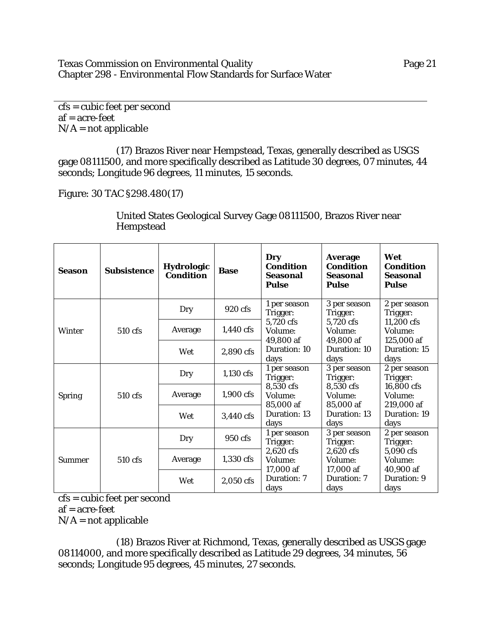Texas Commission on Environmental Quality Page 21 Chapter 298 - Environmental Flow Standards for Surface Water

cfs = cubic feet per second af = acre-feet  $N/A$  = not applicable

(17) Brazos River near Hempstead, Texas, generally described as USGS gage 08111500, and more specifically described as Latitude 30 degrees, 07 minutes, 44 seconds; Longitude 96 degrees, 11 minutes, 15 seconds.

Figure: 30 TAC §298.480(17)

| <b>Season</b> | <b>Subsistence</b> | Hydrologic<br><b>Condition</b> | <b>Base</b> | Dry<br><b>Condition</b><br><b>Seasonal</b><br><b>Pulse</b>                            | <b>Average</b><br><b>Condition</b><br><b>Seasonal</b><br><b>Pulse</b> | Wet<br><b>Condition</b><br>Seasonal<br><b>Pulse</b> |
|---------------|--------------------|--------------------------------|-------------|---------------------------------------------------------------------------------------|-----------------------------------------------------------------------|-----------------------------------------------------|
| Winter        |                    | Dry                            | 920 cfs     | 1 per season<br>Trigger:                                                              | 3 per season<br>Trigger:                                              | 2 per season<br>Trigger:                            |
|               | 510 cfs            | Average                        | $1,440$ cfs | 5,720 cfs<br>Volume:<br>49,800 af<br>Duration: 10<br>days                             | 5,720 cfs<br>Volume:<br>49,800 af                                     | 11,200 cfs<br>Volume:<br>125,000 af                 |
|               |                    | Wet                            | 2,890 cfs   |                                                                                       | Duration: 10<br>days                                                  | Duration: 15<br>days                                |
|               | 510 cfs            | Dry                            | 1,130 cfs   | 1 per season<br>Trigger:<br>8,530 cfs<br>Volume:<br>85,000 af<br>Duration: 13<br>days | 3 per season<br>Trigger:                                              | 2 per season<br>Trigger:                            |
| <b>Spring</b> |                    | Average                        | 1,900 cfs   |                                                                                       | 8,530 cfs<br>Volume:<br>85,000 af                                     | 16,800 cfs<br>Volume:<br>219,000 af                 |
|               |                    | Wet                            | 3,440 cfs   |                                                                                       | Duration: 13<br>days                                                  | Duration: 19<br>days                                |
| <b>Summer</b> | 510 cfs            | Dry                            | 950 cfs     | 1 per season<br>Trigger:<br>2,620 cfs<br>Volume:<br>17,000 af                         | 3 per season<br>Trigger:                                              | 2 per season<br>Trigger:                            |
|               |                    | Average                        | 1,330 cfs   |                                                                                       | 2,620 cfs<br>Volume:<br>17,000 af                                     | 5,090 cfs<br>Volume:<br>40,900 af                   |
|               |                    | Wet                            | 2,050 cfs   | Duration: 7<br>days                                                                   | Duration: 7<br>days                                                   | Duration: 9<br>days                                 |

United States Geological Survey Gage 08111500, Brazos River near Hempstead

cfs = cubic feet per second

 $af = acre-free$ 

 $N/A$  = not applicable

(18) Brazos River at Richmond, Texas, generally described as USGS gage 08114000, and more specifically described as Latitude 29 degrees, 34 minutes, 56 seconds; Longitude 95 degrees, 45 minutes, 27 seconds.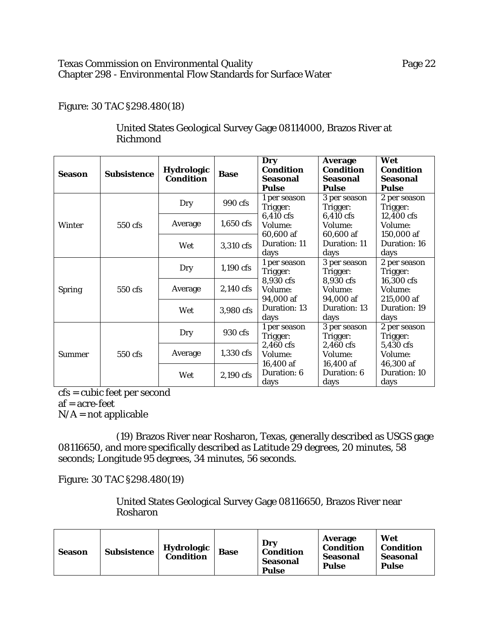## Texas Commission on Environmental Quality **Page 22** Page 22 Chapter 298 - Environmental Flow Standards for Surface Water

## Figure: 30 TAC §298.480(18)

| <b>Season</b> | <b>Subsistence</b> | Hydrologic<br><b>Condition</b> | <b>Base</b> | Dry<br><b>Condition</b><br>Seasonal<br><b>Pulse</b> | <b>Average</b><br><b>Condition</b><br>Seasonal<br><b>Pulse</b> | Wet<br><b>Condition</b><br>Seasonal<br><b>Pulse</b> |
|---------------|--------------------|--------------------------------|-------------|-----------------------------------------------------|----------------------------------------------------------------|-----------------------------------------------------|
| Winter        |                    | Dry                            | 990 cfs     | 1 per season<br>Trigger:                            | 3 per season<br>Trigger:                                       | 2 per season<br>Trigger:                            |
|               | 550 cfs            | Average                        | $1,650$ cfs | 6,410 cfs<br>Volume:<br>60,600 af                   | 6,410 cfs<br>Volume:<br>60,600 af                              | 12,400 cfs<br>Volume:<br>150,000 af                 |
|               |                    | Wet                            | 3,310 cfs   | Duration: 11<br>days                                | Duration: 11<br>days                                           | Duration: 16<br>days                                |
|               | 550 cfs            | Dry                            | $1,190$ cfs | 1 per season<br>Trigger:                            | 3 per season<br>Trigger:                                       | 2 per season<br>Trigger:                            |
| <b>Spring</b> |                    | Average                        | 2,140 cfs   | 8,930 cfs<br>Volume:<br>94,000 af                   | 8,930 cfs<br>Volume:<br>94,000 af                              | 16,300 cfs<br>Volume:<br>215,000 af                 |
|               |                    | Wet                            | 3,980 cfs   | Duration: 13<br>days                                | Duration: 13<br>days                                           | Duration: 19<br>days                                |
| <b>Summer</b> | 550 cfs            | Dry                            | 930 cfs     | 1 per season<br>Trigger:                            | 3 per season<br>Trigger:                                       | 2 per season<br>Trigger:                            |
|               |                    | Average                        | 1,330 cfs   | 2,460 cfs<br>Volume:                                | 2,460 cfs<br>Volume:                                           | 5,430 cfs<br>Volume:                                |
|               |                    | Wet                            | 2,190 cfs   | 16,400 af<br>Duration: 6<br>days                    | 16,400 af<br>Duration: 6<br>days                               | 46,300 af<br>Duration: 10<br>days                   |

# United States Geological Survey Gage 08114000, Brazos River at Richmond

cfs = cubic feet per second

af = acre-feet

 $N/A$  = not applicable

(19) Brazos River near Rosharon, Texas, generally described as USGS gage 08116650, and more specifically described as Latitude 29 degrees, 20 minutes, 58 seconds; Longitude 95 degrees, 34 minutes, 56 seconds.

Figure: 30 TAC §298.480(19)

United States Geological Survey Gage 08116650, Brazos River near Rosharon

| <b>Season</b> | Subsistence | <b>Hydrologic</b><br><b>Condition</b> | <b>Base</b> | Drv<br><b>Condition</b><br><b>Seasonal</b><br><b>Pulse</b> | Average<br><b>Condition</b><br>Seasonal<br><b>Pulse</b> | Wet<br><b>Condition</b><br>Seasonal<br><b>Pulse</b> |
|---------------|-------------|---------------------------------------|-------------|------------------------------------------------------------|---------------------------------------------------------|-----------------------------------------------------|
|---------------|-------------|---------------------------------------|-------------|------------------------------------------------------------|---------------------------------------------------------|-----------------------------------------------------|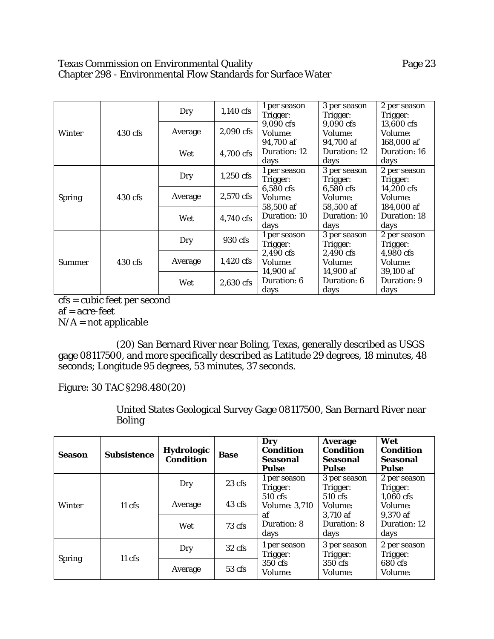## Texas Commission on Environmental Quality **Page 23** Page 23 Chapter 298 - Environmental Flow Standards for Surface Water

| <b>Winter</b> |         | Dry     | $1,140$ cfs | 1 per season<br>Trigger:                                                              | 3 per season<br>Trigger:          | 2 per season<br>Trigger:           |
|---------------|---------|---------|-------------|---------------------------------------------------------------------------------------|-----------------------------------|------------------------------------|
|               | 430 cfs | Average | 2,090 cfs   | 9,090 cfs<br>Volume:                                                                  | 9,090 cfs<br>Volume:              | 13,600 cfs<br>Volume:              |
|               |         | Wet     | 4,700 cfs   | 94,700 af<br>Duration: 12<br>days                                                     | 94,700 af<br>Duration: 12<br>days | 168,000 af<br>Duration: 16<br>days |
| <b>Spring</b> | 430 cfs | Dry     | $1,250$ cfs | 1 per season<br>Trigger:<br>6,580 cfs<br>Volume:<br>58.500 af<br>Duration: 10<br>days | 3 per season<br>Trigger:          | 2 per season<br>Trigger:           |
|               |         | Average | 2,570 cfs   |                                                                                       | $6,580$ cfs<br>Volume:            | 14,200 cfs<br>Volume:              |
|               |         | Wet     | 4,740 cfs   |                                                                                       | 58,500 af<br>Duration: 10<br>days | 184,000 af<br>Duration: 18<br>days |
| <b>Summer</b> |         | Dry     | 930 cfs     | 1 per season<br>Trigger:                                                              | 3 per season<br>Trigger:          | 2 per season<br>Trigger:           |
|               | 430 cfs | Average | 1,420 cfs   | 2,490 cfs<br>Volume:<br>14,900 af<br>Duration: 6<br>days                              | 2,490 cfs<br><b>Volume:</b>       | $4,980$ cfs<br>Volume:             |
|               |         | Wet     | 2,630 cfs   |                                                                                       | 14,900 af<br>Duration: 6<br>days  | 39,100 af<br>Duration: 9<br>days   |

cfs = cubic feet per second

af = acre-feet

 $N/A$  = not applicable

(20) San Bernard River near Boling, Texas, generally described as USGS gage 08117500, and more specifically described as Latitude 29 degrees, 18 minutes, 48 seconds; Longitude 95 degrees, 53 minutes, 37 seconds.

Figure: 30 TAC §298.480(20)

United States Geological Survey Gage 08117500, San Bernard River near Boling

| <b>Season</b> | <b>Subsistence</b> | <b>Hydrologic</b><br><b>Condition</b> | <b>Base</b>      | Dry<br><b>Condition</b><br><b>Seasonal</b><br><b>Pulse</b>                               | <b>Average</b><br><b>Condition</b><br><b>Seasonal</b><br>Pulse                   | Wet<br><b>Condition</b><br>Seasonal<br>Pulse |
|---------------|--------------------|---------------------------------------|------------------|------------------------------------------------------------------------------------------|----------------------------------------------------------------------------------|----------------------------------------------|
| Winter        | $11 \text{ cfs}$   | Dry                                   | $23 \text{ cfs}$ | 1 per season<br>Trigger:<br>510 cfs<br><b>Volume: 3,710</b><br>af<br>Duration: 8<br>days | 3 per season<br>Trigger:<br>Trigger:                                             | 2 per season                                 |
|               |                    | Average                               | 43 cfs           |                                                                                          | 510 cfs<br>Volume:                                                               | $1,060$ cfs<br>Volume:                       |
|               |                    | Wet                                   | $73 \text{ cfs}$ |                                                                                          | 3.710 af<br>Duration: 8<br>days                                                  | 9,370 af<br>Duration: 12<br>days             |
| <b>Spring</b> | $11 \text{ cfs}$   | Dry                                   | $32 \text{ cfs}$ | 1 per season<br>Trigger:<br>350 cfs<br>Volume:                                           | 3 per season<br>Trigger:<br>Trigger:<br>680 cfs<br>350 cfs<br>Volume:<br>Volume: | 2 per season                                 |
|               |                    | Average                               | 53 cfs           |                                                                                          |                                                                                  |                                              |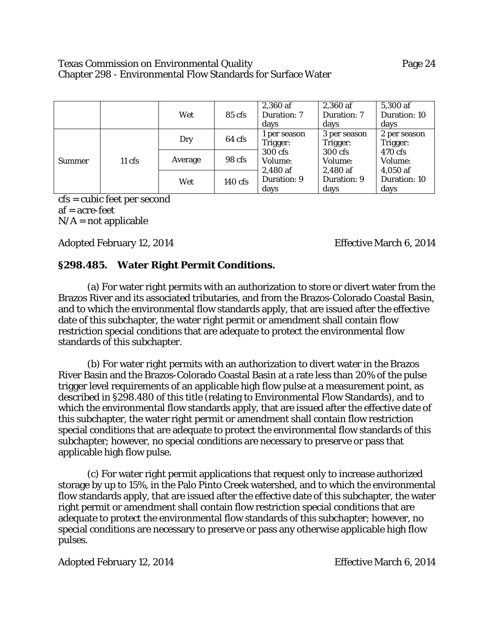#### Texas Commission on Environmental Quality Page 24 Chapter 298 - Environmental Flow Standards for Surface Water

|        |                  | Wet     | $85 \text{ cfs}$ | 2,360 af<br>Duration: 7<br>days  | 2,360 af<br>Duration: 7<br>days                                                                            | 5,300 af<br>Duration: 10<br>days |
|--------|------------------|---------|------------------|----------------------------------|------------------------------------------------------------------------------------------------------------|----------------------------------|
| Summer |                  | Dry     | 64 cfs           | 1 per season<br>Trigger:         | 3 per season<br>Trigger:<br>Trigger:<br>470 cfs<br>300 cfs<br>Volume:<br>Volume:<br>2,480 af<br>$4,050$ af | 2 per season                     |
|        | $11 \text{ cfs}$ | Average | 98 cfs           | 300 cfs<br>Volume:<br>$2,480$ af |                                                                                                            |                                  |
|        |                  | Wet     | $140$ cfs        | Duration: 9<br>days              | Duration: 9<br>days                                                                                        | Duration: 10<br>days             |

cfs = cubic feet per second af = acre-feet  $N/A$  = not applicable

Adopted February 12, 2014 Effective March 6, 2014

## **§298.485. Water Right Permit Conditions.**

(a) For water right permits with an authorization to store or divert water from the Brazos River and its associated tributaries, and from the Brazos-Colorado Coastal Basin, and to which the environmental flow standards apply, that are issued after the effective date of this subchapter, the water right permit or amendment shall contain flow restriction special conditions that are adequate to protect the environmental flow standards of this subchapter.

(b) For water right permits with an authorization to divert water in the Brazos River Basin and the Brazos-Colorado Coastal Basin at a rate less than 20% of the pulse trigger level requirements of an applicable high flow pulse at a measurement point, as described in §298.480 of this title (relating to Environmental Flow Standards), and to which the environmental flow standards apply, that are issued after the effective date of this subchapter, the water right permit or amendment shall contain flow restriction special conditions that are adequate to protect the environmental flow standards of this subchapter; however, no special conditions are necessary to preserve or pass that applicable high flow pulse.

(c) For water right permit applications that request only to increase authorized storage by up to 15%, in the Palo Pinto Creek watershed, and to which the environmental flow standards apply, that are issued after the effective date of this subchapter, the water right permit or amendment shall contain flow restriction special conditions that are adequate to protect the environmental flow standards of this subchapter; however, no special conditions are necessary to preserve or pass any otherwise applicable high flow pulses.

Adopted February 12, 2014 Effective March 6, 2014